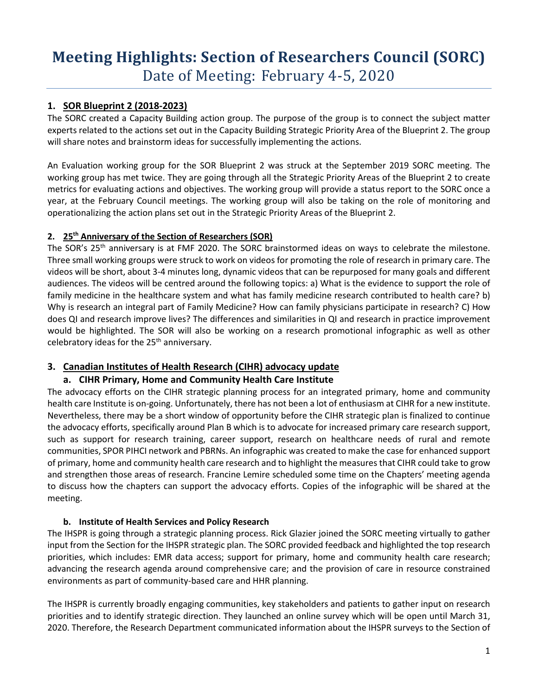# **Meeting Highlights: Section of Researchers Council (SORC)** Date of Meeting: February 4-5, 2020

# **1. SOR Blueprint 2 (2018-2023)**

The SORC created a Capacity Building action group. The purpose of the group is to connect the subject matter experts related to the actions set out in the Capacity Building Strategic Priority Area of the Blueprint 2. The group will share notes and brainstorm ideas for successfully implementing the actions.

An Evaluation working group for the SOR Blueprint 2 was struck at the September 2019 SORC meeting. The working group has met twice. They are going through all the Strategic Priority Areas of the Blueprint 2 to create metrics for evaluating actions and objectives. The working group will provide a status report to the SORC once a year, at the February Council meetings. The working group will also be taking on the role of monitoring and operationalizing the action plans set out in the Strategic Priority Areas of the Blueprint 2.

#### **2. 25th Anniversary of the Section of Researchers (SOR)**

The SOR's 25<sup>th</sup> anniversary is at FMF 2020. The SORC brainstormed ideas on ways to celebrate the milestone. Three small working groups were struck to work on videos for promoting the role of research in primary care. The videos will be short, about 3-4 minutes long, dynamic videos that can be repurposed for many goals and different audiences. The videos will be centred around the following topics: a) What is the evidence to support the role of family medicine in the healthcare system and what has family medicine research contributed to health care? b) Why is research an integral part of Family Medicine? How can family physicians participate in research? C) How does QI and research improve lives? The differences and similarities in QI and research in practice improvement would be highlighted. The SOR will also be working on a research promotional infographic as well as other celebratory ideas for the  $25<sup>th</sup>$  anniversary.

## **3. Canadian Institutes of Health Research (CIHR) advocacy update**

## **a. CIHR Primary, Home and Community Health Care Institute**

The advocacy efforts on the CIHR strategic planning process for an integrated primary, home and community health care Institute is on-going. Unfortunately, there has not been a lot of enthusiasm at CIHR for a new institute. Nevertheless, there may be a short window of opportunity before the CIHR strategic plan is finalized to continue the advocacy efforts, specifically around Plan B which is to advocate for increased primary care research support, such as support for research training, career support, research on healthcare needs of rural and remote communities, SPOR PIHCI network and PBRNs. An infographic was created to make the case for enhanced support of primary, home and community health care research and to highlight the measures that CIHR could take to grow and strengthen those areas of research. Francine Lemire scheduled some time on the Chapters' meeting agenda to discuss how the chapters can support the advocacy efforts. Copies of the infographic will be shared at the meeting.

#### **b. Institute of Health Services and Policy Research**

The IHSPR is going through a strategic planning process. Rick Glazier joined the SORC meeting virtually to gather input from the Section for the IHSPR strategic plan. The SORC provided feedback and highlighted the top research priorities, which includes: EMR data access; support for primary, home and community health care research; advancing the research agenda around comprehensive care; and the provision of care in resource constrained environments as part of community-based care and HHR planning.

The IHSPR is currently broadly engaging communities, key stakeholders and patients to gather input on research priorities and to identify strategic direction. They launched an online survey which will be open until March 31, 2020. Therefore, the Research Department communicated information about the IHSPR surveys to the Section of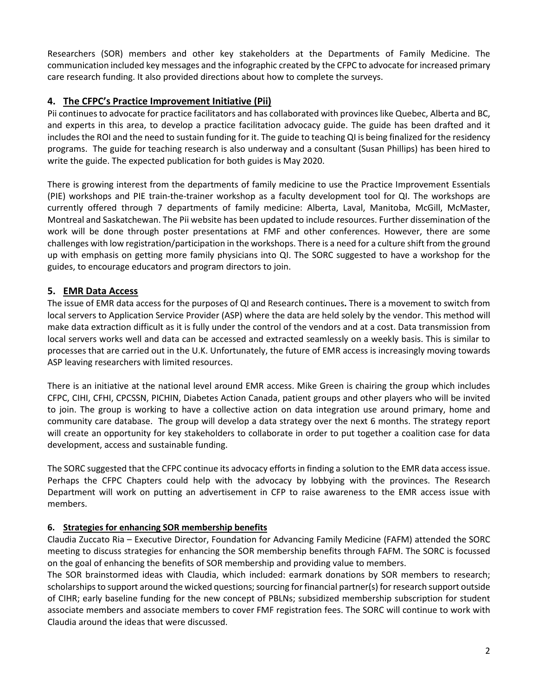Researchers (SOR) members and other key stakeholders at the Departments of Family Medicine. The communication included key messages and the infographic created by the CFPC to advocate for increased primary care research funding. It also provided directions about how to complete the surveys.

# **4. The CFPC's Practice Improvement Initiative (Pii)**

Pii continues to advocate for practice facilitators and has collaborated with provinces like Quebec, Alberta and BC, and experts in this area, to develop a practice facilitation advocacy guide. The guide has been drafted and it includes the ROI and the need to sustain funding for it. The guide to teaching QI is being finalized for the residency programs. The guide for teaching research is also underway and a consultant (Susan Phillips) has been hired to write the guide. The expected publication for both guides is May 2020.

There is growing interest from the departments of family medicine to use the Practice Improvement Essentials (PIE) workshops and PIE train-the-trainer workshop as a faculty development tool for QI. The workshops are currently offered through 7 departments of family medicine: Alberta, Laval, Manitoba, McGill, McMaster, Montreal and Saskatchewan. The Pii website has been updated to include resources. Further dissemination of the work will be done through poster presentations at FMF and other conferences. However, there are some challenges with low registration/participation in the workshops. There is a need for a culture shift from the ground up with emphasis on getting more family physicians into QI. The SORC suggested to have a workshop for the guides, to encourage educators and program directors to join.

## **5. EMR Data Access**

The issue of EMR data access for the purposes of QI and Research continues**.** There is a movement to switch from local servers to Application Service Provider (ASP) where the data are held solely by the vendor. This method will make data extraction difficult as it is fully under the control of the vendors and at a cost. Data transmission from local servers works well and data can be accessed and extracted seamlessly on a weekly basis. This is similar to processes that are carried out in the U.K. Unfortunately, the future of EMR access is increasingly moving towards ASP leaving researchers with limited resources.

There is an initiative at the national level around EMR access. Mike Green is chairing the group which includes CFPC, CIHI, CFHI, CPCSSN, PICHIN, Diabetes Action Canada, patient groups and other players who will be invited to join. The group is working to have a collective action on data integration use around primary, home and community care database. The group will develop a data strategy over the next 6 months. The strategy report will create an opportunity for key stakeholders to collaborate in order to put together a coalition case for data development, access and sustainable funding.

The SORC suggested that the CFPC continue its advocacy efforts in finding a solution to the EMR data access issue. Perhaps the CFPC Chapters could help with the advocacy by lobbying with the provinces. The Research Department will work on putting an advertisement in CFP to raise awareness to the EMR access issue with members.

## **6. Strategies for enhancing SOR membership benefits**

Claudia Zuccato Ria – Executive Director, Foundation for Advancing Family Medicine (FAFM) attended the SORC meeting to discuss strategies for enhancing the SOR membership benefits through FAFM. The SORC is focussed on the goal of enhancing the benefits of SOR membership and providing value to members.

The SOR brainstormed ideas with Claudia, which included: earmark donations by SOR members to research; scholarships to support around the wicked questions; sourcing for financial partner(s) for research support outside of CIHR; early baseline funding for the new concept of PBLNs; subsidized membership subscription for student associate members and associate members to cover FMF registration fees. The SORC will continue to work with Claudia around the ideas that were discussed.